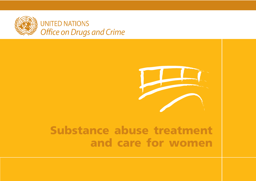



## **Substance abuse treatment and care for women**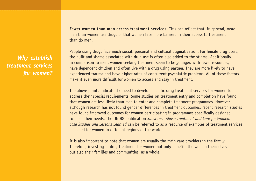**Fewer women than men access treatment services.** This can reflect that, in general, more men than women use drugs or that women face more barriers in their access to treatment than do men.

People using drugs face much social, personal and cultural stigmatization. For female drug users, the guilt and shame associated with drug use is often also added to the stigma. Additionally, in comparison to men, women seeking treatment seem to be younger, with fewer resources, have dependent children and often live with a drug using partner. They are more likely to have experienced trauma and have higher rates of concurrent psychiatric problems. All of these factors make it even more difficult for women to access and stay in treatment.

The above points indicate the need to develop specific drug treatment services for women to address their special requirements. Some studies on treatment entry and completion have found that women are less likely than men to enter and complete treatment programmes. However, although research has not found gender differences in treatment outcomes, recent research studies have found improved outcomes for women participating in programmes specifically designed to meet their needs. The UNODC publication *Substance Abuse Treatment and Care for Women: Case Studies and Lessons Learned* can be referred to as a resource of examples of treatment services designed for women in different regions of the world.

It is also important to note that women are usually the main care providers in the family. Therefore, investing in drug treatment for women not only benefits the women themselves but also their families and communities, as a whole.

*Why establish treatment services for women?*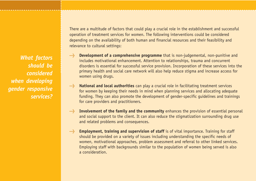*What factors should be considered when developing gender responsive services?* There are a multitude of factors that could play a crucial role in the establishment and successful operation of treatment services for women. The following interventions could be considered depending on the availability of both human and financial resources and their feasibility and relevance to cultural settings:

- **lands Development of a comprehensive programme** that is non-judgemental, non-punitive and includes motivational enhancement. Attention to relationships, trauma and concurrent disorders is essential for successful service provision. Incorporation of these services into the primary health and social care network will also help reduce stigma and increase access for women using drugs.
- **lange National and local authorities** can play a crucial role in facilitating treatment services for women by keeping their needs in mind when planning services and allocating adequate funding. They can also promote the development of gender-specific guidelines and trainings for care providers and practitioners.
- **l Involvement of the family and the community** enhances the provision of essential personal and social support to the client. It can also reduce the stigmatization surrounding drug use and related problems and consequences.
- **lands Employment, training and supervision of staff** is of vital importance. Training for staff should be provided on a variety of issues including understanding the specific needs of women, motivational approaches, problem assessment and referral to other linked services. Employing staff with backgrounds similar to the population of women being served is also a consideration.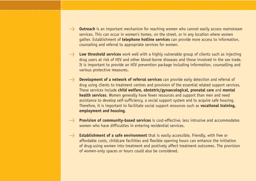- **l Outreach** is an important mechanism for reaching women who cannot easily access mainstream services. This can occur in women's homes, on the street, or in any location where women gather. Establishment of **telephone hotline services** can provide more access to information, counseling and referral to appropriate services for women.
- **l Low threshold services** work well with a highly vulnerable group of clients such as injecting drug users at risk of HIV and other blood-borne diseases and those involved in the sex trade. It is important to provide an HIV prevention package including information, counselling and various protective measures.
- **l Development of a network of referral services** can provide early detection and referral of drug using clients to treatment centres and provision of the essential related support services. These services include **child welfare, obstetric/gynaecological, prenatal care** and **mental health services**. Women generally have fewer resources and support than men and need assistance to develop self-sufficiency, a social support system and to acquire safe housing. Therefore, it is important to facilitate social support resources such as **vocational training, employment and housing**.
- **l Provision of community-based services** is cost-effective, less intrusive and accommodates women who have difficulties in entering residential services.
- **l Establishment of a safe environment** that is easily accessible, friendly, with free or affordable costs, childcare facilities and flexible opening hours can enhance the initiation of drug-using women into treatment and postively affect treatment outcomes. The provision of women-only spaces or hours could also be considered.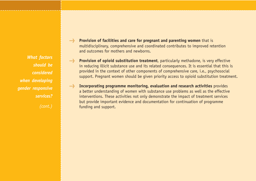*What factors should be considered when developing gender responsive services?*

*(cont.)*

- **l Provision of facilities and care for pregnant and parenting women** that is multidisciplinary, comprehensive and coordinated contributes to improved retention and outcomes for mothers and newborns.
- **lange Provision of opioid substitution treatment**, particularly methadone, is very effective in reducing illicit substance use and its related consequences. It is essential that this is provided in the context of other components of comprehensive care, i.e., psychosocial support. Pregnant women should be given priority access to opioid substitution treatment.
- **lands Incorporating programme monitoring, evaluation and research activities** provides a better understanding of women with substance use problems as well as the effective interventions. These activities not only demonstrate the impact of treatment services but provide important evidence and documentation for continuation of programme funding and support.